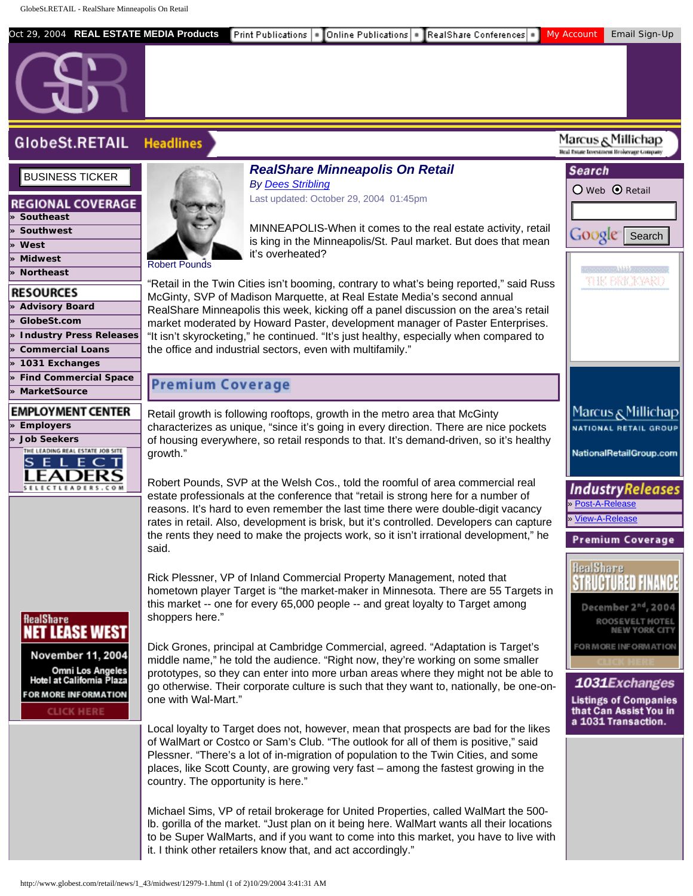| Oct 29, 2004 REAL ESTATE MEDIA Products                                                                                                                                         | Frint Publications  ■ Donline Publications   ■ RealShare Conferences   ■ 1                                                                                                                                                                                                                                                                                                                                                                                                                                                                                                                                                                                                                                                                                                                                                      | My Account<br>Email Sign-Up                                                                                                                                                                                                     |
|---------------------------------------------------------------------------------------------------------------------------------------------------------------------------------|---------------------------------------------------------------------------------------------------------------------------------------------------------------------------------------------------------------------------------------------------------------------------------------------------------------------------------------------------------------------------------------------------------------------------------------------------------------------------------------------------------------------------------------------------------------------------------------------------------------------------------------------------------------------------------------------------------------------------------------------------------------------------------------------------------------------------------|---------------------------------------------------------------------------------------------------------------------------------------------------------------------------------------------------------------------------------|
| <b>GlobeSt.RETAIL</b>                                                                                                                                                           | <b>Headlines</b>                                                                                                                                                                                                                                                                                                                                                                                                                                                                                                                                                                                                                                                                                                                                                                                                                | Marcus وMillichap<br>Beal Estate Investment Brokerage Compan                                                                                                                                                                    |
| <b>BUSINESS TICKER</b><br><b>REGIONAL COVERAGE</b><br>» Southeast<br>» Southwest<br>» West<br>» Midwest<br>» Northeast<br><b>RESOURCES</b><br>» Advisory Board<br>» GlobeSt.com | <b>RealShare Minneapolis On Retail</b><br><b>By Dees Stribling</b><br>Last updated: October 29, 2004 01:45pm<br>MINNEAPOLIS-When it comes to the real estate activity, retail<br>is king in the Minneapolis/St. Paul market. But does that mean<br>it's overheated?<br><b>Robert Pounds</b><br>"Retail in the Twin Cities isn't booming, contrary to what's being reported," said Russ<br>McGinty, SVP of Madison Marquette, at Real Estate Media's second annual<br>RealShare Minneapolis this week, kicking off a panel discussion on the area's retail                                                                                                                                                                                                                                                                       | Search<br>O Web ⊙ Retail<br><b>Google</b><br>Search<br><b>TERRITORIA DA ATEN</b><br>THE BRICKWRO                                                                                                                                |
| » Industry Press Releases<br>» Commercial Loans<br>$\gg$ 1031 Exchanges<br>» Find Commercial Space<br>» MarketSource<br><b>EMPLOYMENT CENTER</b><br>» Employers                 | market moderated by Howard Paster, development manager of Paster Enterprises.<br>"It isn't skyrocketing," he continued. "It's just healthy, especially when compared to<br>the office and industrial sectors, even with multifamily."<br><b>Premium Coverage</b><br>Retail growth is following rooftops, growth in the metro area that McGinty<br>characterizes as unique, "since it's going in every direction. There are nice pockets                                                                                                                                                                                                                                                                                                                                                                                         | Marcus & Millichap<br>NATIONAL RETAIL GROUP                                                                                                                                                                                     |
| » Job Seekers<br>THE LEADING REAL ESTATE JOB SITE<br>SELECT<br>SELECTLEADERS.COM                                                                                                | of housing everywhere, so retail responds to that. It's demand-driven, so it's healthy<br>growth."<br>Robert Pounds, SVP at the Welsh Cos., told the roomful of area commercial real<br>estate professionals at the conference that "retail is strong here for a number of<br>reasons. It's hard to even remember the last time there were double-digit vacancy<br>rates in retail. Also, development is brisk, but it's controlled. Developers can capture<br>the rents they need to make the projects work, so it isn't irrational development," he<br>said.                                                                                                                                                                                                                                                                  | NationalRetailGroup.com<br>IndustryReleases<br>» Post-A-Release<br>» View-A-Release<br><b>Premium Coverage</b>                                                                                                                  |
| <b>RealShare</b><br><b>NET LEASE WEST</b><br>November 11, 2004<br>Omni Los Angeles<br>Hotel at California Plaza<br><b>FOR MORE INFORMATION</b><br><b>CLICK HERE</b>             | Rick Plessner, VP of Inland Commercial Property Management, noted that<br>hometown player Target is "the market-maker in Minnesota. There are 55 Targets in<br>this market -- one for every 65,000 people -- and great loyalty to Target among<br>shoppers here."<br>Dick Grones, principal at Cambridge Commercial, agreed. "Adaptation is Target's<br>middle name," he told the audience. "Right now, they're working on some smaller<br>prototypes, so they can enter into more urban areas where they might not be able to<br>go otherwise. Their corporate culture is such that they want to, nationally, be one-on-<br>one with Wal-Mart."<br>Local loyalty to Target does not, however, mean that prospects are bad for the likes<br>of WalMart or Costco or Sam's Club. "The outlook for all of them is positive," said | <b>RealShare</b><br>December 2 <sup>nd</sup> , 2004<br><b>ROOSEVELT HOTE!</b><br><b>NEW YORK CITY</b><br>FOR MORE INFORMATION<br>1031Exchanges<br><b>Listings of Companies</b><br>that Can Assist You in<br>a 1031 Transaction. |
|                                                                                                                                                                                 | Plessner. "There's a lot of in-migration of population to the Twin Cities, and some<br>places, like Scott County, are growing very fast - among the fastest growing in the<br>country. The opportunity is here."<br>Michael Sims, VP of retail brokerage for United Properties, called WalMart the 500-<br>Ib. gorilla of the market. "Just plan on it being here. WalMart wants all their locations<br>to be Super WalMarts, and if you want to come into this market, you have to live with<br>it. I think other retailers know that, and act accordingly."<br>http://www.globest.com/retail/news/1_43/midwest/12979-1.html (1 of 2)10/29/2004 3:41:31 AM                                                                                                                                                                     |                                                                                                                                                                                                                                 |